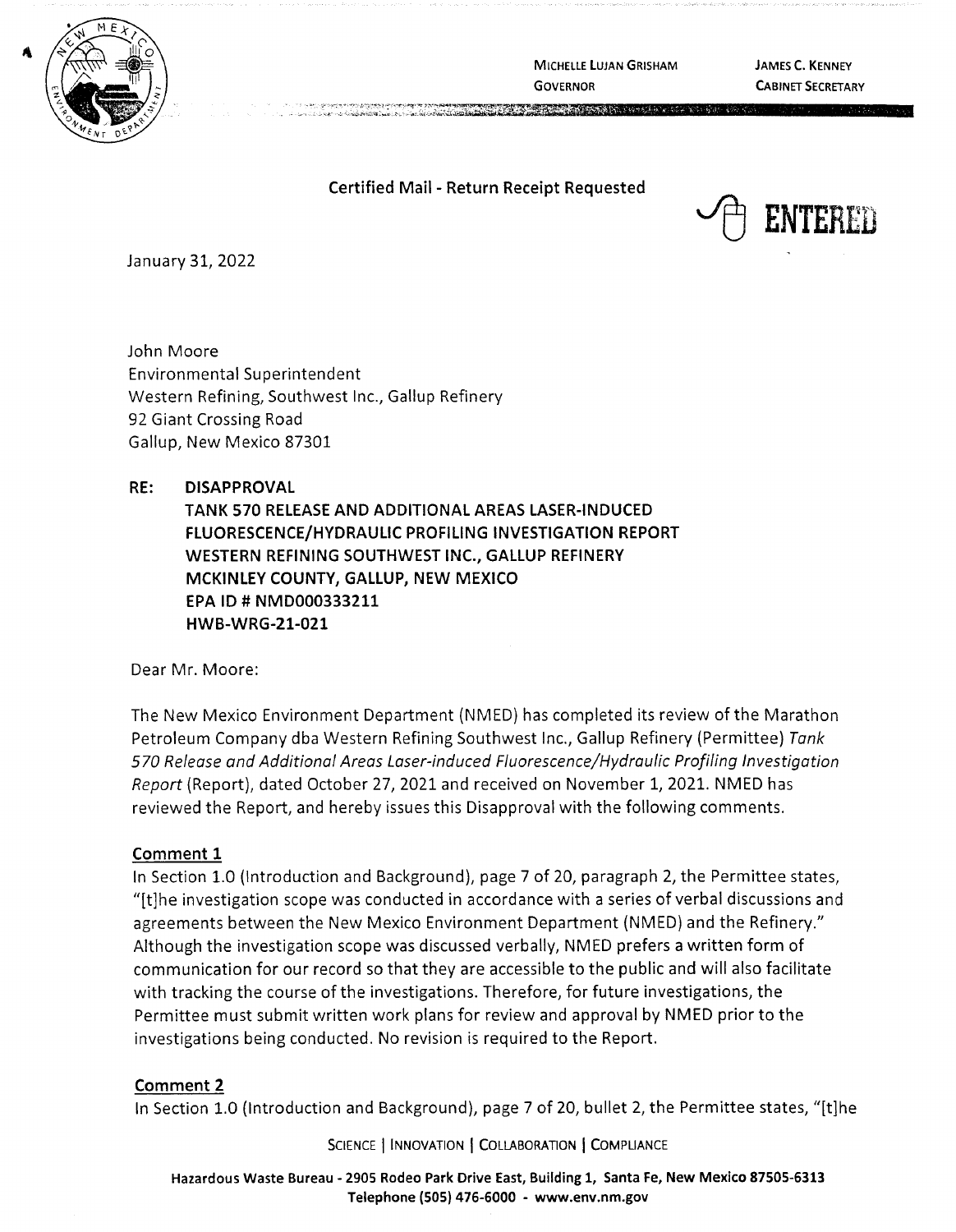

**MICHELLE LUJAN GRISHAM GOVERNOR** 

**A PART PRAIR PROGRAMMENT PRODUCT** 

**JAMES C. KENNEY CABINET SECRETARY** 

## **Certified Mail** - **Return Receipt Requested**



January 31, 2022

John Moore Environmental Superintendent Western Refining, Southwest Inc., Gallup Refinery 92 Giant Crossing Road Gallup, New Mexico 87301

**RE: DISAPPROVAL TANK 570 RELEASE AND ADDITIONAL AREAS LASER-INDUCED FLUORESCENCE/HYDRAULIC PROFILING INVESTIGATION REPORT WESTERN REFINING SOUTHWEST INC., GALLUP REFINERY MCKINLEY COUNTY, GALLUP, NEW MEXICO EPA ID# NMD000333211 HWB-WRG-21-021** 

Dear Mr. Moore:

The New Mexico Environment Department {NMED) has completed its review of the Marathon Petroleum Company dba Western Refining Southwest Inc., Gallup Refinery {Permittee) Tank 570 Release and Additional Areas Laser-induced Fluorescence/Hydraulic Profiling Investigation Report (Report), dated October 27, 2021 and received on November 1, 2021. NMED has reviewed the Report, and hereby issues this Disapproval with the following comments.

### **Comment 1**

In Section 1.0 {Introduction and Background), page 7 of 20, paragraph 2, the Permittee states, " $[t]$ he investigation scope was conducted in accordance with a series of verbal discussions and agreements between the New Mexico Environment Department (NMED) and the Refinery." Although the investigation scope was discussed verbally, NMED prefers a written form of communication for our record so that they are accessible to the public and will also facilitate with tracking the course of the investigations. Therefore, for future investigations, the Permittee must submit written work plans for review and approval by NMED prior to the investigations being conducted. No revision is required to the Report.

### **Comment 2**

In Section 1.0 (Introduction and Background), page 7 of 20, bullet 2, the Permittee states, "[t]he

SCIENCE | INNOVATION | COLLABORATION | COMPLIANCE

**Hazardous Waste Bureau** - **2905 Rodeo Park Drive East, Building 1, Santa Fe, New Mexico 87505-6313 Telephone (505} 476-6000** - **www.env.nm.gov**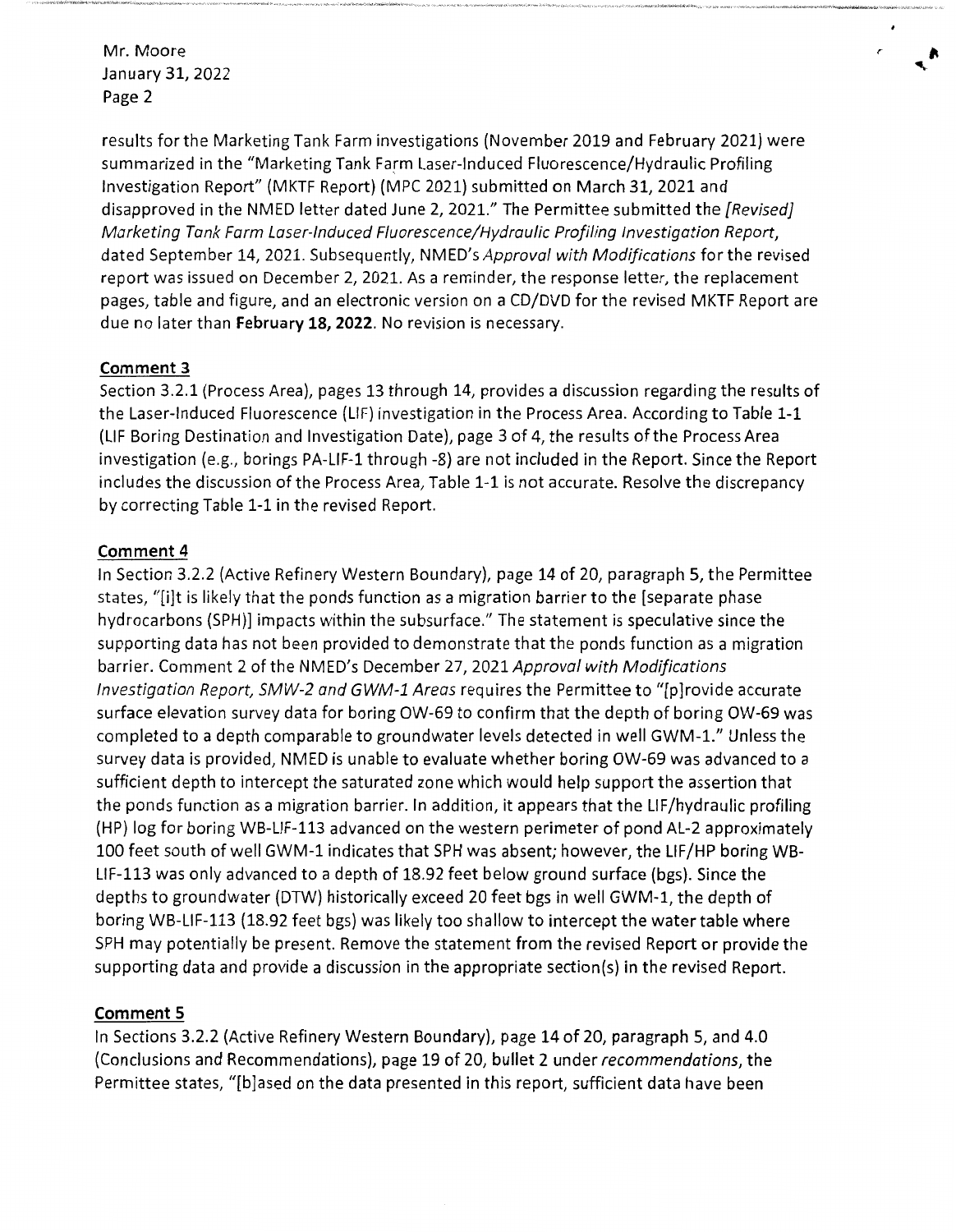results for the Marketing Tank Farm investigations (November 2019 and February 2021) were summarized in the "Marketing Tank Farm Laser-Induced Fluorescence/Hydraulic Profiling Investigation Report" (MKTF Report) (MPC 2021) submitted on March 31, 2021 and disapproved in the NMED letter dated June 2, 2021." The Permittee submitted the [Revised] Marketing Tank Farm Laser-Induced Fluorescence/Hydraulic Profiling Investigation Report, dated September 14, 2021. Subsequently, NMED's Approval with Modifications for the revised report was issued on December 2, 2021. As a reminder, the response letter, the replacement pages, table and figure, and an electronic version on a CD/DVD for the revised MKTF Report are due no later than **February 18, 2022.** No revision is necessary.

*r* 

# **Comment 3**

Section 3.2.1 (Process Area), pages 13 through 14, provides a discussion regarding the results of the Laser-Induced Fluorescence (LIF) investigation in the Process Area. According to Table 1-1 (LIF Boring Destination and Investigation Date), page 3 of 4, the results of the Process Area investigation (e.g., borings PA-LIF-1 through -8) are not included in the Report. Since the Report includes the discussion of the Process Area, Table 1-1 is not accurate. Resolve the discrepancy by correcting Table 1-1 in the revised Report.

# **Comment 4**

In Section 3.2.2 (Active Refinery Western Boundary), page 14 of 20, paragraph 5, the Permittee states, "[i]t is likely that the ponds function as a migration barrier to the [separate phase hydrocarbons (SPH)] impacts within the subsurface." The statement is speculative since the supporting data has not been provided to demonstrate that the ponds function as a migration barrier. Comment 2 of the NMED's December 27, 2021 Approval with Modifications Investigation Report, SMW-2 and GWM-1 Areas requires the Permittee to "[p]rovide accurate surface elevation survey data for boring OW-69 to confirm that the depth of boring OW-69 was completed to a depth comparable to groundwater levels detected in well GWM-1." Unless the survey data is provided, NMED is unable to evaluate whether boring OW-69 was advanced to a sufficient depth to intercept the saturated zone which would help support the assertion that the ponds function as a migration barrier. In addition, it appears that the LIF/hydraulic profiling (HP) log for boring WB-LIF-113 advanced on the western perimeter of pond AL-2 approximately 100 feet south of well GWM-1 indicates that SPH was absent; however, the LIF/HP boring WB-LIF-113 was only advanced to a depth of 18.92 feet below ground surface (bgs). Since the depths to groundwater (DTW) historically exceed 20 feet bgs in well GWM-1, the depth of boring WB-LIF-113 (18.92 feet bgs) was likely too shallow to intercept the water table where SPH may potentially be present. Remove the statement from the revised Report or provide the supporting data and provide a discussion in the appropriate section(s) in the revised Report.

# **Comment 5**

In Sections 3.2.2 (Active Refinery Western Boundary), page 14 of 20, paragraph 5, and 4.0 (Conclusions and Recommendations), page 19 of 20, bullet 2 under recommendations, the Permittee states, "[b]ased on the data presented in this report, sufficient data have been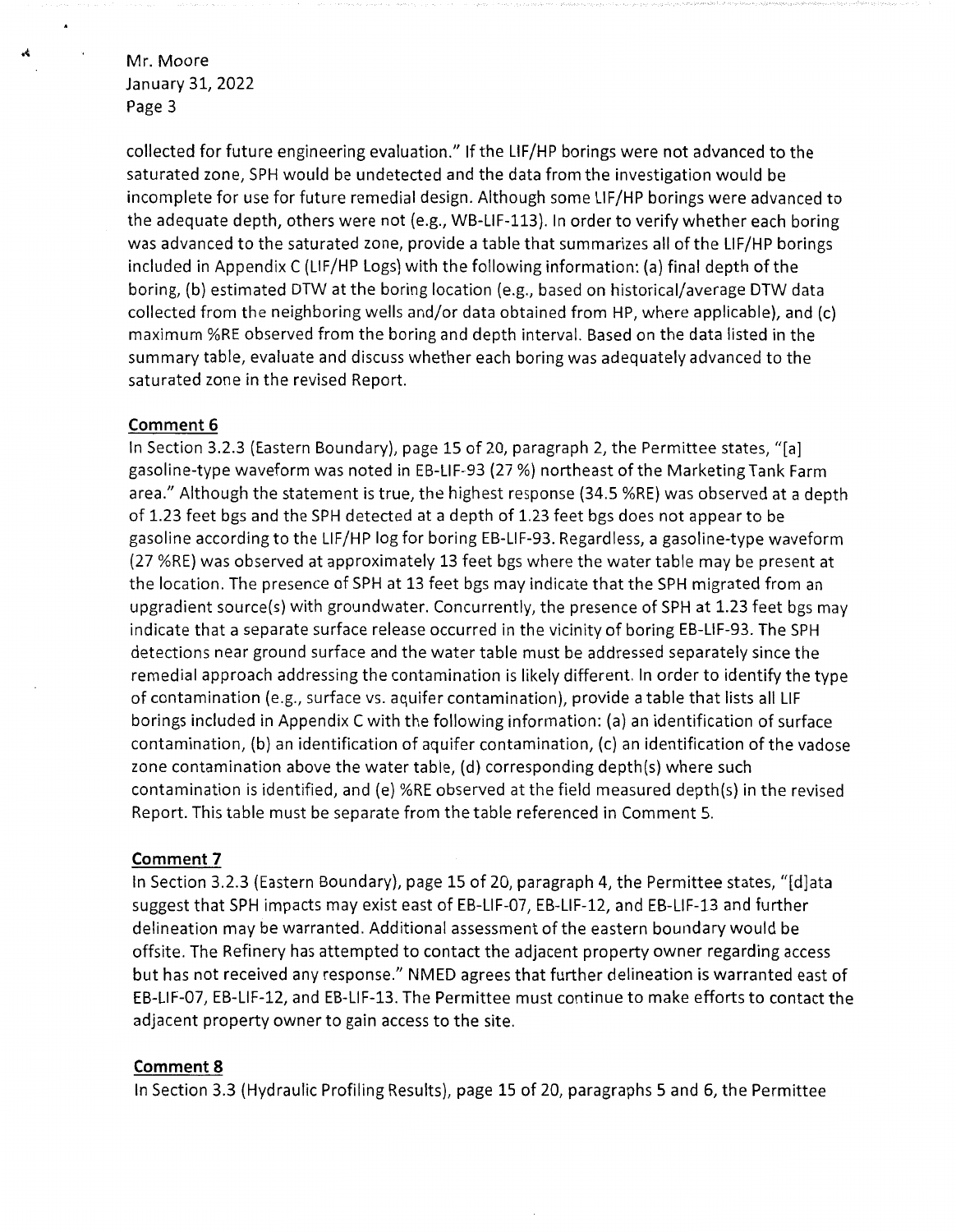collected for future engineering evaluation." If the LIF/HP borings were not advanced to the saturated zone, SPH would be undetected and the data from the investigation would be incomplete for use for future remedial design. Although some LIF/HP borings were advanced to the adequate depth, others were not (e.g., WB-LIF-113}. In order to verify whether each boring was advanced to the saturated zone, provide a table that summarizes all of the LIF/HP borings included in Appendix C {LIF/HP Logs) with the following information: (a) final depth of the boring, (b} estimated DTW at the boring location (e.g., based on historical/average DTW data collected from the neighboring wells and/or data obtained from HP, where applicable), and (c) maximum %RE observed from the boring and depth interval. Based on the data listed in the summary table, evaluate and discuss whether each boring was adequately advanced to the saturated zone in the revised Report.

### **Comment 6**

In Section 3.2.3 (Eastern Boundary), page 15 of 20, paragraph 2, the Permittee states, "[a] gasoline-type waveform was noted in EB-LIF-93 {27 %) northeast of the Marketing Tank Farm area." Although the statement is true, the highest response (34.5 %RE} was observed at a depth of 1.23 feet bgs and the SPH detected at a depth of 1.23 feet bgs does not appear to be gasoline according to the LIF/HP log for boring EB-LIF-93. Regardless, a gasoline-type waveform (27 %RE) was observed at approximately 13 feet bgs where the water table may be present at the location. The presence of SPH at 13 feet bgs may indicate that the SPH migrated from an upgradient source(s) with groundwater. Concurrently, the presence of SPH at 1.23 feet bgs may indicate that a separate surface release occurred in the vicinity of boring EB-LIF-93. The SPH detections near ground surface and the water table must be addressed separately since the remedial approach addressing the contamination is likely different. In order to identify the type of contamination (e.g., surface vs. aquifer contamination}, provide a table that lists all LIF borings included in Appendix C with the following information: (a) an identification of surface contamination, (b) an identification of aquifer contamination, (c) an identification of the vadose zone contamination above the water table, (d) corresponding depth(s) where such contamination is identified, and (e} %RE observed at the field measured depth(s) in the revised Report. This table must be separate from the table referenced in Comment 5.

#### **Comment 7**

In Section 3.2.3 (Eastern Boundary}, page 15 of 20, paragraph 4, the Permittee states, "[d]ata suggest that SPH impacts may exist east of EB-LIF-07, EB-LIF-12, and EB-LIF-13 and further delineation may be warranted. Additional assessment of the eastern boundary would be offsite. The Refinery has attempted to contact the adjacent property owner regarding access but has not received any response." NMED agrees that further delineation is warranted east of EB-LIF-07, EB-LIF-12, and EB-LIF-13. The Permittee must continue to make efforts to contact the adjacent property owner to gain access to the site.

#### **Comment 8**

In Section 3.3 (Hydraulic Profiling Results}, page 15 of 20, paragraphs 5 and 6, the Permittee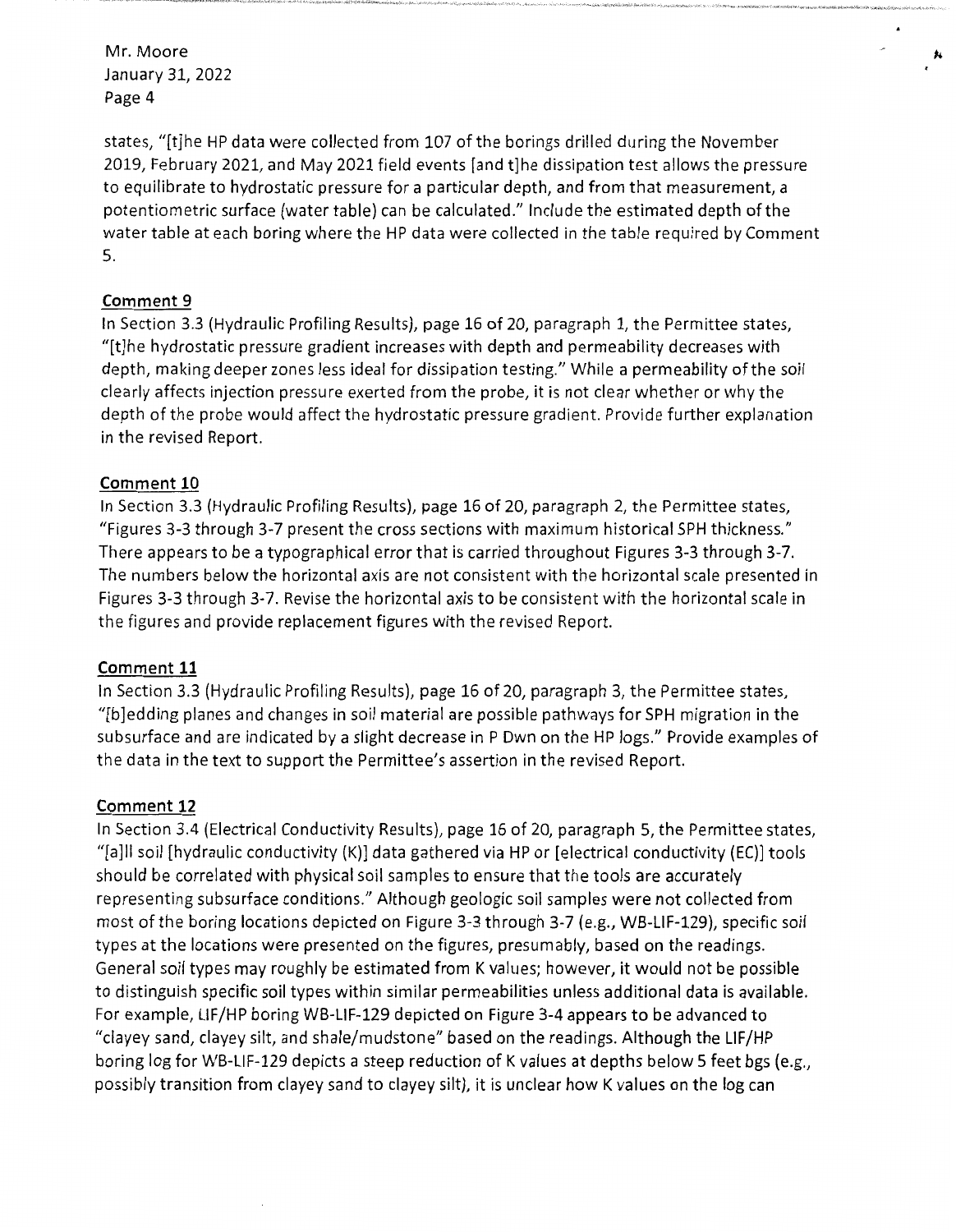states, "[t]he HP data were collected from 107 of the borings drilled during the November 2019, February 2021, and May 2021 field events [and t]he dissipation test allows the pressure to equilibrate to hydrostatic pressure for a particular depth, and from that measurement, a potentiometric surface (water table) can be calculated." Include the estimated depth of the water table at each boring where the HP data were collected in the table required by Comment 5.

 $\pmb{\ast}$ 

## **Comment 9**

In Section 3.3 (Hydraulic Profiling Results), page 16 of 20, paragraph 1, the Permittee states, "[t]he hydrostatic pressure gradient increases with depth and permeability decreases with depth, making deeper zones less ideal for dissipation testing." While a permeability of the soil clearly affects injection pressure exerted from the probe, it is not clear whether or why the depth of the probe would affect the hydrostatic pressure gradient. Provide further explanation in the revised Report.

### **Comment 10**

In Section 3.3 (Hydraulic Profiling Results), page 16 of 20, paragraph 2, the Permittee states, "Figures 3-3 through 3-7 present the cross sections with maximum historical SPH thickness." There appears to be a typographical error that is carried throughout Figures 3-3 through 3-7. The numbers below the horizontal axis are not consistent with the horizontal scale presented in Figures 3-3 through 3-7. Revise the horizontal axis to be consistent with the horizontal scale in the figures and provide replacement figures with the revised Report.

### **Comment 11**

In Section 3.3 (Hydraulic Profiling Results), page 16 of 20, paragraph 3, the Permittee states, "[b]edding planes and changes in soil material are possible pathways for SPH migration in the subsurface and are indicated by a slight decrease in P Own on the HP logs." Provide examples of the data in the text to support the Permittee's assertion in the revised Report.

#### **Comment 12**

In Section 3.4 (Electrical Conductivity Results), page 16 of 20, paragraph 5, the Permittee states, "[a]II soil [hydraulic conductivity (K)] data gathered via HP or [electrical conductivity (EC)] tools should be correlated with physical soil samples to ensure that the tools are accurately representing subsurface conditions." Although geologic soil samples were not collected from most of the boring locations depicted on Figure 3-3 through 3-7 (e.g., WB-LIF-129), specific soil types at the locations were presented on the figures, presumably, based on the readings. General soil types may roughly be estimated from K values; however, it would not be possible to distinguish specific soil types within similar permeabilities unless additional data is available. For example, LIF/HP boring WB-LIF-129 depicted on Figure 3-4 appears to be advanced to "clayey sand, clayey silt, and shale/mudstone" based on the readings. Although the LIF/HP boring log for WB-LIF-129 depicts a steep reduction of K values at depths below 5 feet bgs (e.g., possibly transition from clayey sand to clayey silt), it is unclear how K values on the log can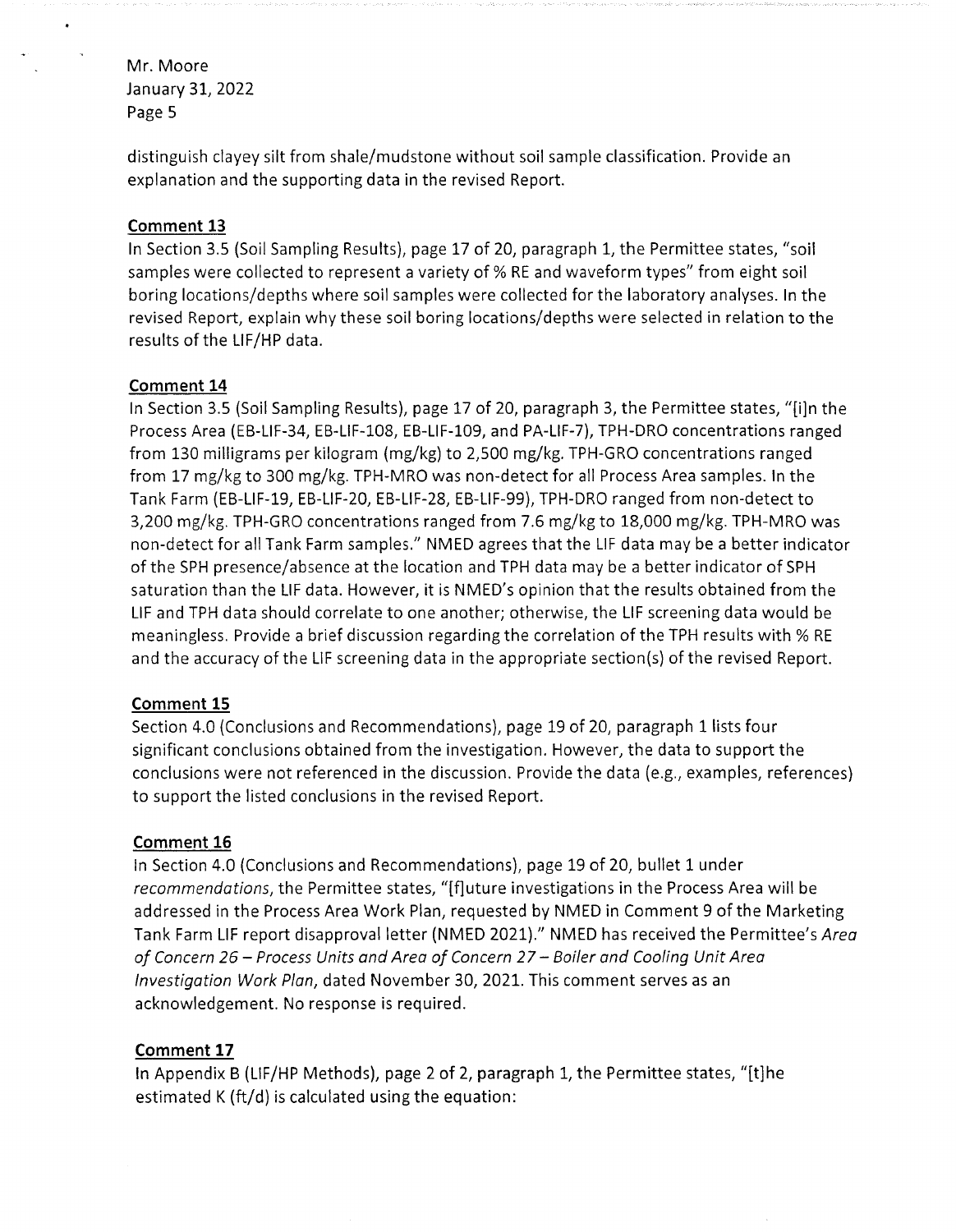distinguish clayey silt from shale/mudstone without soil sample classification. Provide an explanation and the supporting data in the revised Report.

# **Comment 13**

In Section 3.5 (Soil Sampling Results), page 17 of 20, paragraph 1, the Permittee states, "soil samples were collected to represent a variety of% RE and waveform types" from eight soil boring locations/depths where soil samples were collected for the laboratory analyses. In the revised Report, explain why these soil boring locations/depths were selected in relation to the results of the LIF/HP data.

## **Comment 14**

In Section 3.5 (Soil Sampling Results), page 17 of 20, paragraph 3, the Permittee states, "[i]n the Process Area (EB-LIF-34, EB-LIF-108, EB-LIF-109, and PA-LIF-7), TPH-DRO concentrations ranged from 130 milligrams per kilogram (mg/kg) to 2,500 mg/kg. TPH-GRO concentrations ranged from 17 mg/kg to 300 mg/kg. TPH-MRO was non-detect for all Process Area samples. In the Tank Farm (EB-LIF-19, EB-LIF-20, EB-LIF-28, EB-LIF-99), TPH-DRO ranged from non-detect to 3,200 mg/kg. TPH-GRO concentrations ranged from 7.6 mg/kg to 18,000 mg/kg. TPH-MRO was non-detect for all Tank Farm samples." NMED agrees that the LIF data may be a better indicator of the SPH presence/absence at the location and TPH data may be a better indicator of SPH saturation than the LIF data. However, it is NMED's opinion that the results obtained from the LIF and TPH data should correlate to one another; otherwise, the LIF screening data would be meaningless. Provide a brief discussion regarding the correlation of the TPH results with% RE and the accuracy of the LIF screening data in the appropriate section(s) of the revised Report.

## **Comment 15**

Section 4.0 (Conclusions and Recommendations), page 19 of 20, paragraph 1 lists four significant conclusions obtained from the investigation. However, the data to support the conclusions were not referenced in the discussion. Provide the data (e.g., examples, references) to support the listed conclusions in the revised Report.

# **Comment 16**

In Section 4.0 (Conclusions and Recommendations), page 19 of 20, bullet 1 under *recommendations,* the Permittee states, "[f]uture investigations in the Process Area will be addressed in the Process Area Work Plan, requested by NMED in Comment 9 of the Marketing Tank Farm LIF report disapproval letter (NMED 2021)." NMED has received the Permittee's *Area of Concern 26- Process Units and Area of Concern 27-Boiler and Cooling Unit Area Investigation Work Plan,* dated November 30, 2021. This comment serves as an acknowledgement. No response is required.

# **Comment 17**

In Appendix B (LIF/HP Methods), page 2 of 2, paragraph 1, the Permittee states, "[t]he estimated K (ft/d) is calculated using the equation: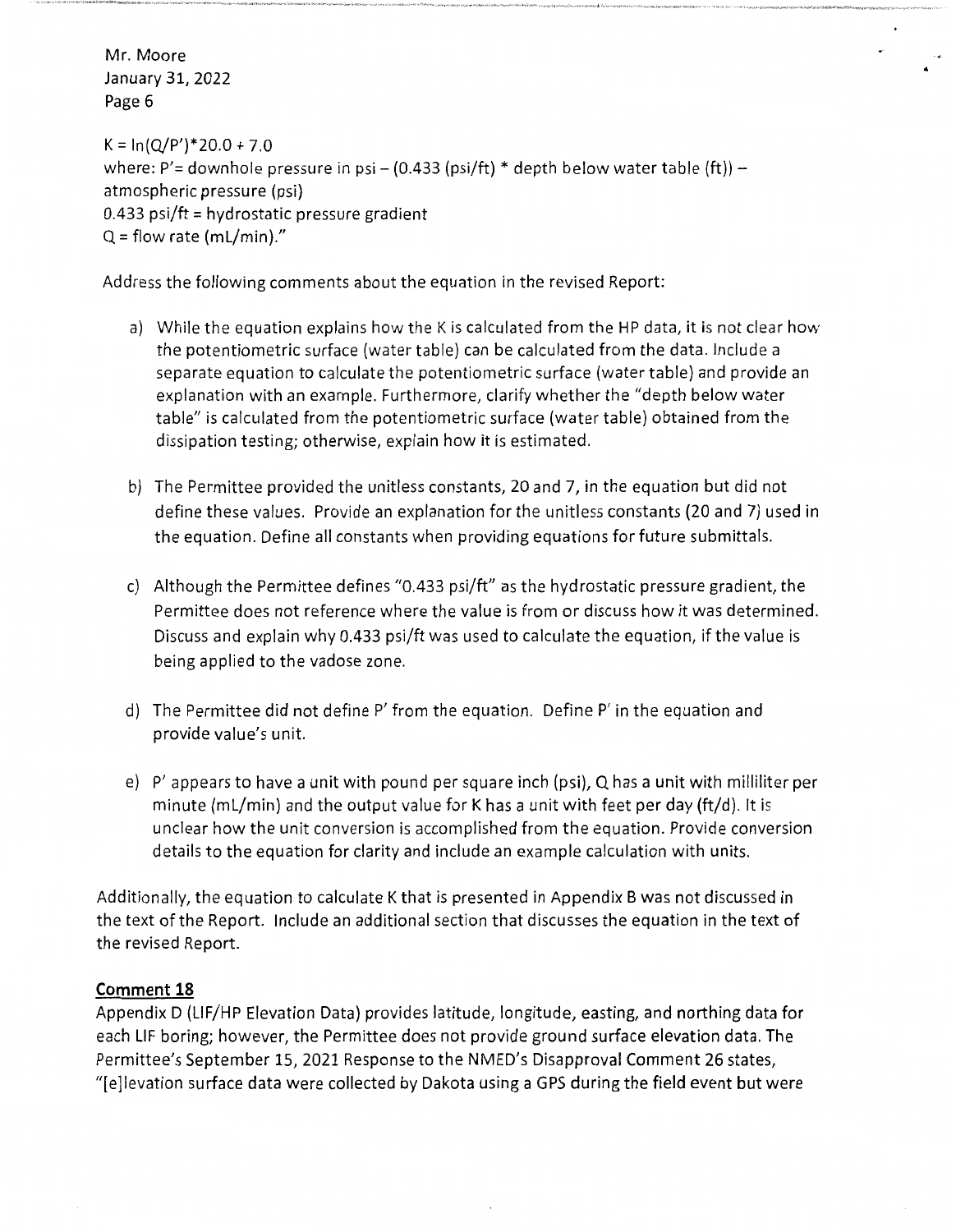$K = \ln(Q/P')$  \* 20.0 + 7.0 where: P'= downhole pressure in psi – (0.433 (psi/ft) \* depth below water table (ft)) – atmospheric pressure (psi) 0.433 psi/ft = hydrostatic pressure gradient  $Q =$  flow rate (mL/min)."

Address the following comments about the equation in the revised Report:

- a) While the equation explains how the K is calculated from the HP data, it is not clear how the potentiometric surface (water table) can be calculated from the data. Include a separate equation to calculate the potentiometric surface (water table) and provide an explanation with an example. Furthermore, clarify whether the "depth below water table" is calculated from the potentiometric surface (water table) obtained from the dissipation testing; otherwise, explain how it is estimated.
- b) The Permittee provided the unitless constants, 20 and 7, in the equation but did not define these values. Provide an explanation for the unitless constants (20 and 7) used in the equation. Define all constants when providing equations for future submittals.
- c) Although the Permittee defines "0.433 psi/ft" as the hydrostatic pressure gradient, the Permittee does not reference where the value is from or discuss how it was determined. Discuss and explain why 0.433 psi/ft was used to calculate the equation, if the value is being applied to the vadose zone.
- d) The Permittee did not define P' from the equation. Define P' in the equation and provide value's unit.
- e) P' appears to have a unit with pound per square inch (psi), Q has a unit with milliliter per minute (ml/min) and the output value for K has a unit with feet per day (ft/d). It is unclear how the unit conversion is accomplished from the equation. Provide conversion details to the equation for clarity and include an example calculation with units.

Additionally, the equation to calculate K that is presented in Appendix B was not discussed in the text of the Report. Include an additional section that discusses the equation in the text of the revised Report.

## **Comment 18**

Appendix D (LIF/HP Elevation Data) provides latitude, longitude, easting, and northing data for each LIF boring; however, the Permittee does not provide ground surface elevation data. The Permittee's September 15, 2021 Response to the NMED's Disapproval Comment 26 states, "[e]levation surface data were collected by Dakota using a GPS during the field event but were